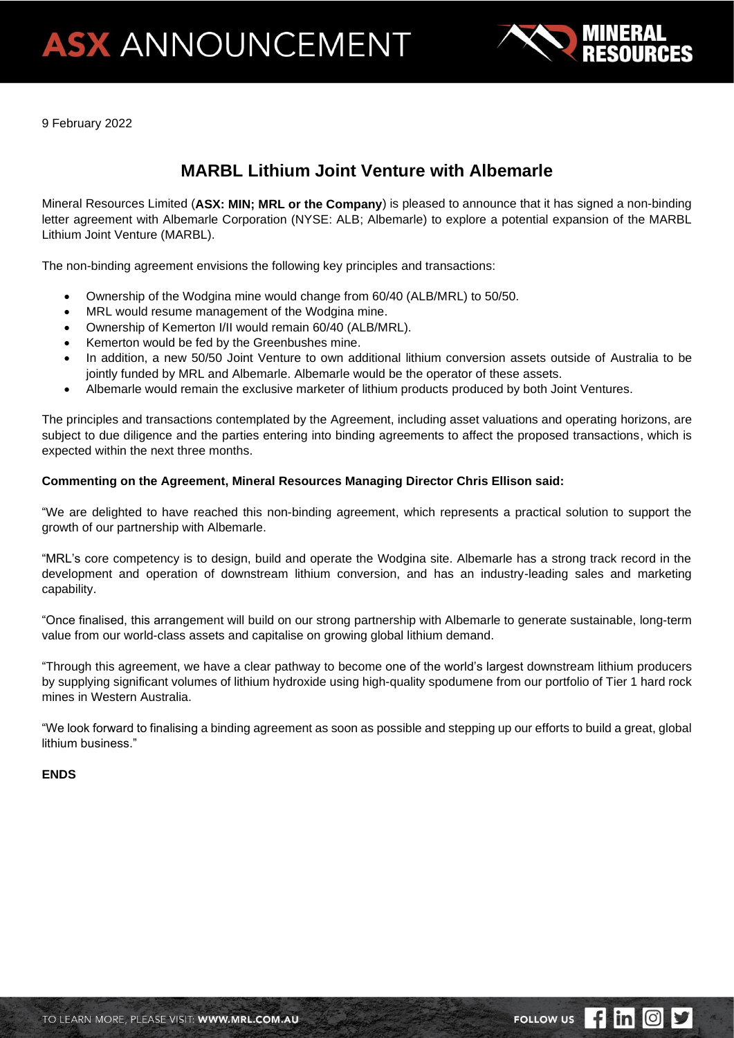

9 February 2022

## **MARBL Lithium Joint Venture with Albemarle**

Mineral Resources Limited (**ASX: MIN; MRL or the Company**) is pleased to announce that it has signed a non-binding letter agreement with Albemarle Corporation (NYSE: ALB; Albemarle) to explore a potential expansion of the MARBL Lithium Joint Venture (MARBL).

The non-binding agreement envisions the following key principles and transactions:

- Ownership of the Wodgina mine would change from 60/40 (ALB/MRL) to 50/50.
- MRL would resume management of the Wodgina mine.
- Ownership of Kemerton I/II would remain 60/40 (ALB/MRL).
- Kemerton would be fed by the Greenbushes mine.
- In addition, a new 50/50 Joint Venture to own additional lithium conversion assets outside of Australia to be jointly funded by MRL and Albemarle. Albemarle would be the operator of these assets.
- Albemarle would remain the exclusive marketer of lithium products produced by both Joint Ventures.

The principles and transactions contemplated by the Agreement, including asset valuations and operating horizons, are subject to due diligence and the parties entering into binding agreements to affect the proposed transactions, which is expected within the next three months.

#### **Commenting on the Agreement, Mineral Resources Managing Director Chris Ellison said:**

"We are delighted to have reached this non-binding agreement, which represents a practical solution to support the growth of our partnership with Albemarle.

"MRL's core competency is to design, build and operate the Wodgina site. Albemarle has a strong track record in the development and operation of downstream lithium conversion, and has an industry-leading sales and marketing capability.

"Once finalised, this arrangement will build on our strong partnership with Albemarle to generate sustainable, long-term value from our world-class assets and capitalise on growing global lithium demand.

"Through this agreement, we have a clear pathway to become one of the world's largest downstream lithium producers by supplying significant volumes of lithium hydroxide using high-quality spodumene from our portfolio of Tier 1 hard rock mines in Western Australia.

"We look forward to finalising a binding agreement as soon as possible and stepping up our efforts to build a great, global lithium business."

#### **ENDS**